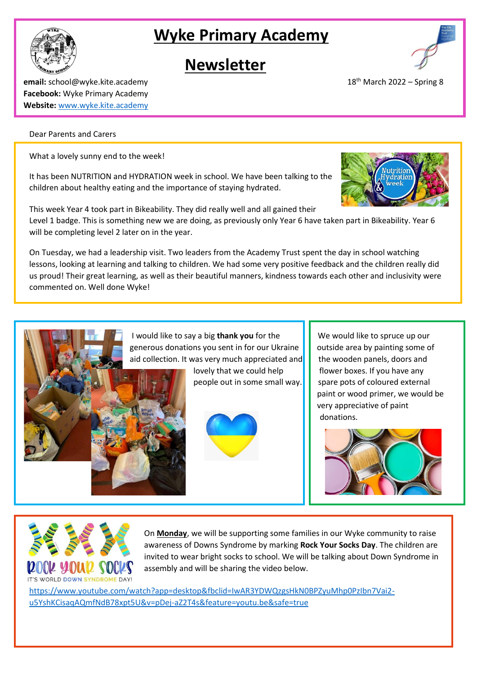# **Wyke Primary Academy**

## **Newsletter**

**email:** school@wyke.kite.academy 18 **Facebook:** Wyke Primary Academy **Website:** [www.wyke.kite.academy](http://www.wyke.kite.academy/)

### Dear Parents and Carers

What a lovely sunny end to the week!

It has been NUTRITION and HYDRATION week in school. We have been talking to the children about healthy eating and the importance of staying hydrated.

This week Year 4 took part in Bikeability. They did really well and all gained their Level 1 badge. This is something new we are doing, as previously only Year 6 have taken part in Bikeability. Year 6 will be completing level 2 later on in the year.

On Tuesday, we had a leadership visit. Two leaders from the Academy Trust spent the day in school watching lessons, looking at learning and talking to children. We had some very positive feedback and the children really did us proud! Their great learning, as well as their beautiful manners, kindness towards each other and inclusivity were commented on. Well done Wyke!

> I would like to say a big **thank you** for the We would like to spruce up our generous donations you sent in for our Ukraine  $\|\cdot\|$  outside area by painting some of aid collection. It was very much appreciated and  $\parallel$  the wooden panels, doors and

> > lovely that we could help  $\|\cdot\|$  flower boxes. If you have any



people out in some small way.  $\|\cdot\|$  spare pots of coloured external paint or wood primer, we would be very appreciative of paint donations.





On **Monday**, we will be supporting some families in our Wyke community to raise awareness of Downs Syndrome by marking **Rock Your Socks Day**. The children are invited to wear bright socks to school. We will be talking about Down Syndrome in assembly and will be sharing the video below.

[https://www.youtube.com/watch?app=desktop&fbclid=IwAR3YDWQzgsHkN0BPZyuMhp0PzIbn7Vai2](https://www.youtube.com/watch?app=desktop&fbclid=IwAR3YDWQzgsHkN0BPZyuMhp0PzIbn7Vai2-u5YshKCisaqAQmfNdB78xpt5U&v=pDej-aZ2T4s&feature=youtu.be&safe=true) [u5YshKCisaqAQmfNdB78xpt5U&v=pDej-aZ2T4s&feature=youtu.be&safe=true](https://www.youtube.com/watch?app=desktop&fbclid=IwAR3YDWQzgsHkN0BPZyuMhp0PzIbn7Vai2-u5YshKCisaqAQmfNdB78xpt5U&v=pDej-aZ2T4s&feature=youtu.be&safe=true)







 $18<sup>th</sup>$  March 2022 – Spring 8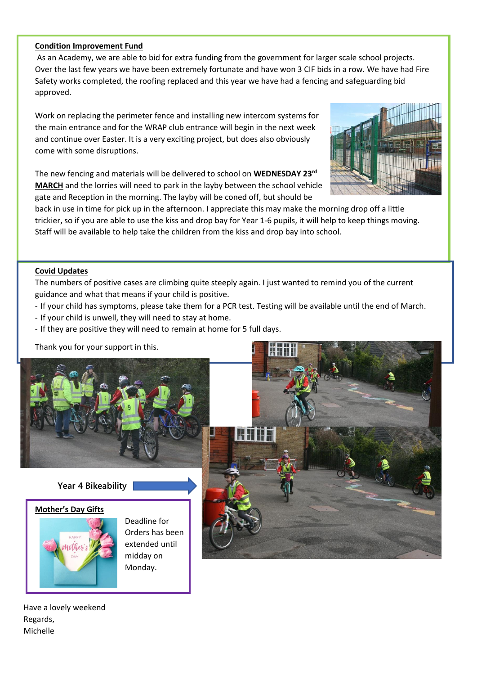#### **Condition Improvement Fund**

As an Academy, we are able to bid for extra funding from the government for larger scale school projects. Over the last few years we have been extremely fortunate and have won 3 CIF bids in a row. We have had Fire Safety works completed, the roofing replaced and this year we have had a fencing and safeguarding bid approved.

Work on replacing the perimeter fence and installing new intercom systems for the main entrance and for the WRAP club entrance will begin in the next week and continue over Easter. It is a very exciting project, but does also obviously come with some disruptions.

The new fencing and materials will be delivered to school on **WEDNESDAY 23rd MARCH** and the lorries will need to park in the layby between the school vehicle gate and Reception in the morning. The layby will be coned off, but should be



back in use in time for pick up in the afternoon. I appreciate this may make the morning drop off a little trickier, so if you are able to use the kiss and drop bay for Year 1-6 pupils, it will help to keep things moving. Staff will be available to help take the children from the kiss and drop bay into school.

#### **Covid Updates**

The numbers of positive cases are climbing quite steeply again. I just wanted to remind you of the current guidance and what that means if your child is positive.

- If your child has symptoms, please take them for a PCR test. Testing will be available until the end of March.
- If your child is unwell, they will need to stay at home.
- If they are positive they will need to remain at home for 5 full days.

Thank you for your support in this.



#### **Year 4 Bikeability**

#### **Mother's Day Gifts**



Deadline for Orders has been extended until midday on Monday.



Have a lovely weekend Regards, Michelle